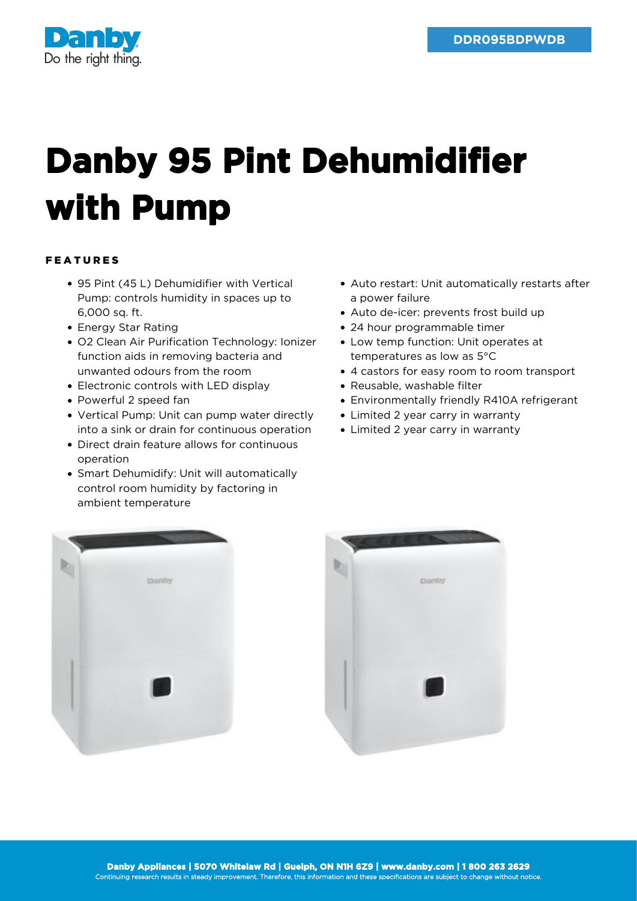

## **Danby 95 Pint Dehumidifier with Pump**

## FEATURES

- 95 Pint (45 L) Dehumidifier with Vertical Pump: controls humidity in spaces up to 6,000 sq. ft.
- Energy Star Rating
- O2 Clean Air Purification Technology: Ionizer function aids in removing bacteria and unwanted odours from the room
- Electronic controls with LED display
- Powerful 2 speed fan
- Vertical Pump: Unit can pump water directly into a sink or drain for continuous operation
- Direct drain feature allows for continuous operation
- Smart Dehumidify: Unit will automatically control room humidity by factoring in ambient temperature
- Auto restart: Unit automatically restarts after a power failure
- Auto de-icer: prevents frost build up
- 24 hour programmable timer
- Low temp function: Unit operates at temperatures as low as 5°C
- 4 castors for easy room to room transport
- Reusable, washable filter
- Environmentally friendly R410A refrigerant
- Limited 2 year carry in warranty
- Limited 2 year carry in warranty